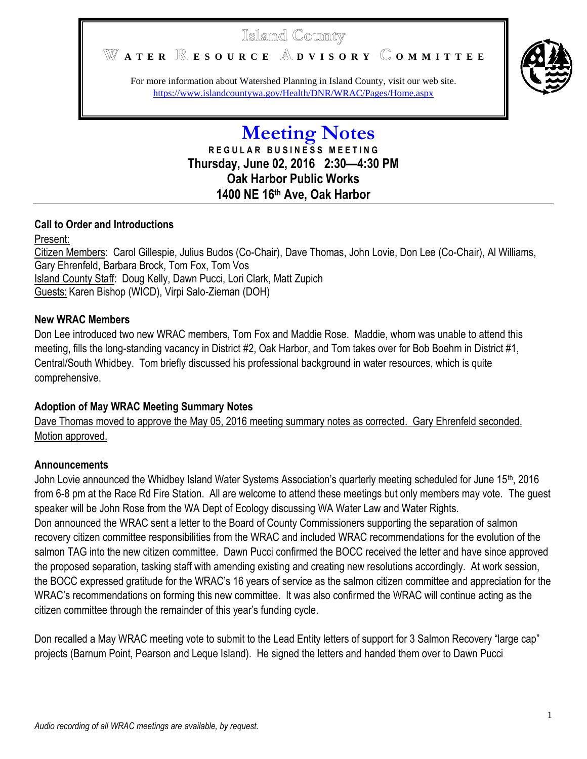# Islaind County

WATER **RESOURCE** ADVISORY COMMITTEE



For more information about Watershed Planning in Island County, visit our web site. <https://www.islandcountywa.gov/Health/DNR/WRAC/Pages/Home.aspx>

> **Meeting Notes R E G U L A R B U S I N E S S M E E T I N G Thursday, June 02, 2016 2:30—4:30 PM Oak Harbor Public Works 1400 NE 16th Ave, Oak Harbor**

### **Call to Order and Introductions**

### Present:

Citizen Members: Carol Gillespie, Julius Budos (Co-Chair), Dave Thomas, John Lovie, Don Lee (Co-Chair), Al Williams, Gary Ehrenfeld, Barbara Brock, Tom Fox, Tom Vos Island County Staff: Doug Kelly, Dawn Pucci, Lori Clark, Matt Zupich Guests: Karen Bishop (WICD), Virpi Salo-Zieman (DOH)

### **New WRAC Members**

Don Lee introduced two new WRAC members, Tom Fox and Maddie Rose. Maddie, whom was unable to attend this meeting, fills the long-standing vacancy in District #2, Oak Harbor, and Tom takes over for Bob Boehm in District #1, Central/South Whidbey. Tom briefly discussed his professional background in water resources, which is quite comprehensive.

## **Adoption of May WRAC Meeting Summary Notes**

Dave Thomas moved to approve the May 05, 2016 meeting summary notes as corrected. Gary Ehrenfeld seconded. Motion approved.

## **Announcements**

John Lovie announced the Whidbey Island Water Systems Association's quarterly meeting scheduled for June 15<sup>th</sup>, 2016 from 6-8 pm at the Race Rd Fire Station. All are welcome to attend these meetings but only members may vote. The guest speaker will be John Rose from the WA Dept of Ecology discussing WA Water Law and Water Rights. Don announced the WRAC sent a letter to the Board of County Commissioners supporting the separation of salmon recovery citizen committee responsibilities from the WRAC and included WRAC recommendations for the evolution of the salmon TAG into the new citizen committee. Dawn Pucci confirmed the BOCC received the letter and have since approved the proposed separation, tasking staff with amending existing and creating new resolutions accordingly. At work session, the BOCC expressed gratitude for the WRAC's 16 years of service as the salmon citizen committee and appreciation for the WRAC's recommendations on forming this new committee. It was also confirmed the WRAC will continue acting as the citizen committee through the remainder of this year's funding cycle.

Don recalled a May WRAC meeting vote to submit to the Lead Entity letters of support for 3 Salmon Recovery "large cap" projects (Barnum Point, Pearson and Leque Island). He signed the letters and handed them over to Dawn Pucci